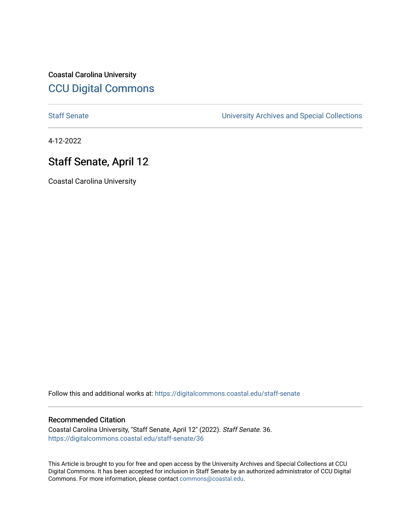Coastal Carolina University [CCU Digital Commons](https://digitalcommons.coastal.edu/) 

[Staff Senate](https://digitalcommons.coastal.edu/staff-senate) [University Archives and Special Collections](https://digitalcommons.coastal.edu/archives) 

4-12-2022

# Staff Senate, April 12

Coastal Carolina University

Follow this and additional works at: [https://digitalcommons.coastal.edu/staff-senate](https://digitalcommons.coastal.edu/staff-senate?utm_source=digitalcommons.coastal.edu%2Fstaff-senate%2F36&utm_medium=PDF&utm_campaign=PDFCoverPages)

# Recommended Citation

Coastal Carolina University, "Staff Senate, April 12" (2022). Staff Senate. 36. [https://digitalcommons.coastal.edu/staff-senate/36](https://digitalcommons.coastal.edu/staff-senate/36?utm_source=digitalcommons.coastal.edu%2Fstaff-senate%2F36&utm_medium=PDF&utm_campaign=PDFCoverPages) 

This Article is brought to you for free and open access by the University Archives and Special Collections at CCU Digital Commons. It has been accepted for inclusion in Staff Senate by an authorized administrator of CCU Digital Commons. For more information, please contact [commons@coastal.edu.](mailto:commons@coastal.edu)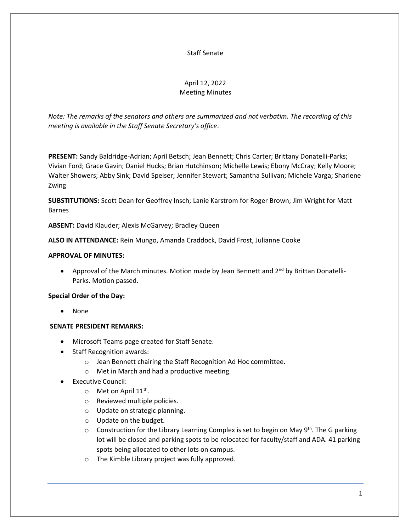# Staff Senate

# April 12, 2022 Meeting Minutes

*Note: The remarks of the senators and others are summarized and not verbatim. The recording of this meeting is available in the Staff Senate Secretary's office*.

**PRESENT:** Sandy Baldridge-Adrian; April Betsch; Jean Bennett; Chris Carter; Brittany Donatelli-Parks; Vivian Ford; Grace Gavin; Daniel Hucks; Brian Hutchinson; Michelle Lewis; Ebony McCray; Kelly Moore; Walter Showers; Abby Sink; David Speiser; Jennifer Stewart; Samantha Sullivan; Michele Varga; Sharlene Zwing

**SUBSTITUTIONS:** Scott Dean for Geoffrey Insch; Lanie Karstrom for Roger Brown; Jim Wright for Matt Barnes

**ABSENT:** David Klauder; Alexis McGarvey; Bradley Queen

**ALSO IN ATTENDANCE:** Rein Mungo, Amanda Craddock, David Frost, Julianne Cooke

# **APPROVAL OF MINUTES:**

• Approval of the March minutes. Motion made by Jean Bennett and  $2^{nd}$  by Brittan Donatelli-Parks. Motion passed.

## **Special Order of the Day:**

• None

# **SENATE PRESIDENT REMARKS:**

- Microsoft Teams page created for Staff Senate.
- Staff Recognition awards:
	- o Jean Bennett chairing the Staff Recognition Ad Hoc committee.
	- o Met in March and had a productive meeting.
- Executive Council:
	- o Met on April 11<sup>th</sup>.
	- o Reviewed multiple policies.
	- o Update on strategic planning.
	- o Update on the budget.
	- o Construction for the Library Learning Complex is set to begin on May 9<sup>th</sup>. The G parking lot will be closed and parking spots to be relocated for faculty/staff and ADA. 41 parking spots being allocated to other lots on campus.
	- o The Kimble Library project was fully approved.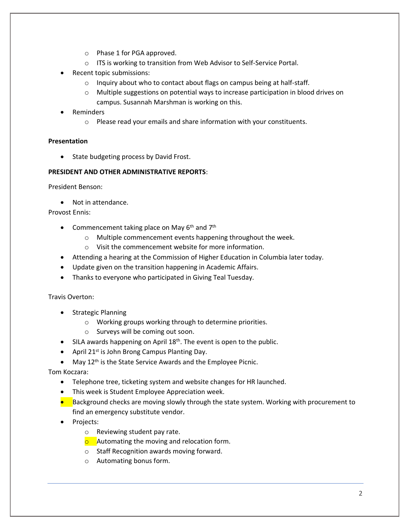- o Phase 1 for PGA approved.
- o ITS is working to transition from Web Advisor to Self-Service Portal.
- Recent topic submissions:
	- o Inquiry about who to contact about flags on campus being at half-staff.
	- o Multiple suggestions on potential ways to increase participation in blood drives on campus. Susannah Marshman is working on this.
- Reminders
	- o Please read your emails and share information with your constituents.

# **Presentation**

• State budgeting process by David Frost.

# **PRESIDENT AND OTHER ADMINISTRATIVE REPORTS**:

President Benson:

• Not in attendance.

Provost Ennis:

- Commencement taking place on May  $6<sup>th</sup>$  and  $7<sup>th</sup>$ 
	- o Multiple commencement events happening throughout the week.
	- o Visit the commencement website for more information.
- Attending a hearing at the Commission of Higher Education in Columbia later today.
- Update given on the transition happening in Academic Affairs.
- Thanks to everyone who participated in Giving Teal Tuesday.

Travis Overton:

- Strategic Planning
	- o Working groups working through to determine priorities.
	- o Surveys will be coming out soon.
- SILA awards happening on April 18<sup>th</sup>. The event is open to the public.
- April 21st is John Brong Campus Planting Day.
- May  $12<sup>th</sup>$  is the State Service Awards and the Employee Picnic.

Tom Koczara:

- Telephone tree, ticketing system and website changes for HR launched.
- This week is Student Employee Appreciation week.
- Background checks are moving slowly through the state system. Working with procurement to find an emergency substitute vendor.
- Projects:
	- o Reviewing student pay rate.
	- $\circ$  Automating the moving and relocation form.
	- o Staff Recognition awards moving forward.
	- o Automating bonus form.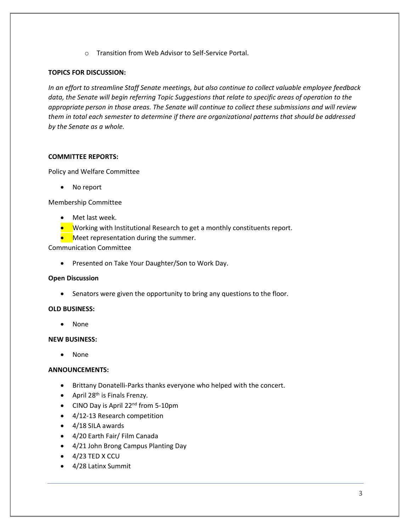o Transition from Web Advisor to Self-Service Portal.

## **TOPICS FOR DISCUSSION:**

*In an effort to streamline Staff Senate meetings, but also continue to collect valuable employee feedback data, the Senate will begin referring Topic Suggestions that relate to specific areas of operation to the appropriate person in those areas. The Senate will continue to collect these submissions and will review them in total each semester to determine if there are organizational patterns that should be addressed by the Senate as a whole.*

# **COMMITTEE REPORTS:**

Policy and Welfare Committee

No report

Membership Committee

- Met last week.
- Working with Institutional Research to get a monthly constituents report.
- Meet representation during the summer.

Communication Committee

• Presented on Take Your Daughter/Son to Work Day.

## **Open Discussion**

• Senators were given the opportunity to bring any questions to the floor.

## **OLD BUSINESS:**

• None

## **NEW BUSINESS:**

• None

## **ANNOUNCEMENTS:**

- Brittany Donatelli-Parks thanks everyone who helped with the concert.
- April 28<sup>th</sup> is Finals Frenzy.
- CINO Day is April 22<sup>nd</sup> from 5-10pm
- 4/12-13 Research competition
- 4/18 SILA awards
- 4/20 Earth Fair/ Film Canada
- 4/21 John Brong Campus Planting Day
- 4/23 TED X CCU
- 4/28 Latinx Summit